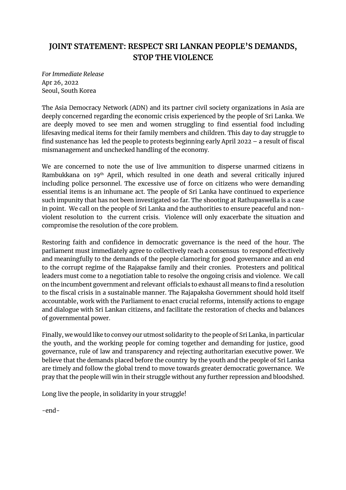## **JOINT STATEMENT: RESPECT SRI LANKAN PEOPLE'S DEMANDS, STOP THE VIOLENCE**

*For Immediate Release* Apr 26, 2022 Seoul, South Korea

The Asia Democracy Network (ADN) and its partner civil society organizations in Asia are deeply concerned regarding the economic crisis experienced by the people of Sri Lanka. We are deeply moved to see men and women struggling to find essential food including lifesaving medical items for their family members and children. This day to day struggle to find sustenance has led the people to protests beginning early April 2022 – a result of fiscal mismanagement and unchecked handling of the economy.

We are concerned to note the use of live ammunition to disperse unarmed citizens in Rambukkana on 19th April, which resulted in one death and several critically injured including police personnel. The excessive use of force on citizens who were demanding essential items is an inhumane act. The people of Sri Lanka have continued to experience such impunity that has not been investigated so far. The shooting at Rathupaswella is a case in point. We call on the people of Sri Lanka and the authorities to ensure peaceful and nonviolent resolution to the current crisis. Violence will only exacerbate the situation and compromise the resolution of the core problem.

Restoring faith and confidence in democratic governance is the need of the hour. The parliament must immediately agree to collectively reach a consensus to respond effectively and meaningfully to the demands of the people clamoring for good governance and an end to the corrupt regime of the Rajapakse family and their cronies. Protesters and political leaders must come to a negotiation table to resolve the ongoing crisis and violence. We call on the incumbent government and relevant officials to exhaust all means to find a resolution to the fiscal crisis in a sustainable manner. The Rajapaksha Government should hold itself accountable, work with the Parliament to enact crucial reforms, intensify actions to engage and dialogue with Sri Lankan citizens, and facilitate the restoration of checks and balances of governmental power.

Finally, we would like to convey our utmost solidarity to the people of Sri Lanka, in particular the youth, and the working people for coming together and demanding for justice, good governance, rule of law and transparency and rejecting authoritarian executive power. We believe that the demands placed before the country by the youth and the people of Sri Lanka are timely and follow the global trend to move towards greater democratic governance. We pray that the people will win in their struggle without any further repression and bloodshed.

Long live the people, in solidarity in your struggle!

-end-